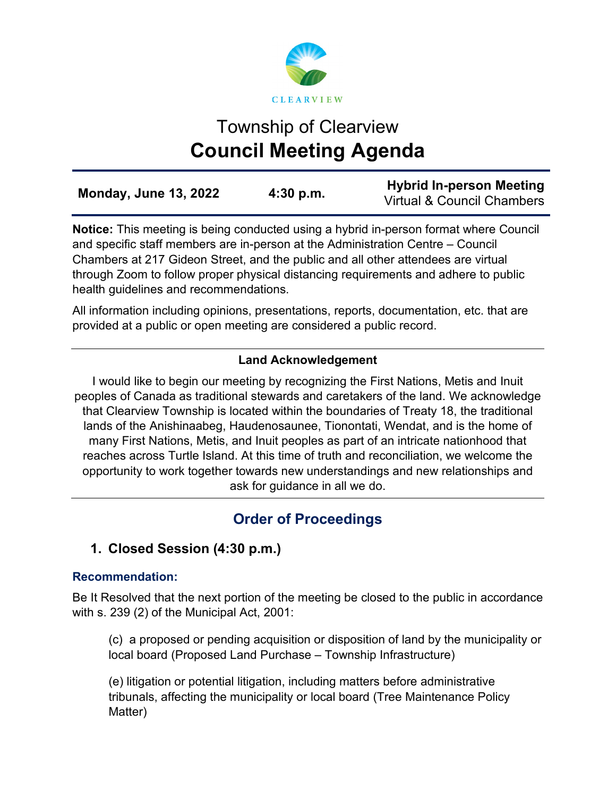

# Township of Clearview **Council Meeting Agenda**

| <b>Monday, June 13, 2022</b> | 4:30 p.m. | <b>Hybrid In-person Meeting</b><br>Virtual & Council Chambers |
|------------------------------|-----------|---------------------------------------------------------------|
|                              |           |                                                               |

**Notice:** This meeting is being conducted using a hybrid in-person format where Council and specific staff members are in-person at the Administration Centre – Council Chambers at 217 Gideon Street, and the public and all other attendees are virtual through Zoom to follow proper physical distancing requirements and adhere to public health guidelines and recommendations.

All information including opinions, presentations, reports, documentation, etc. that are provided at a public or open meeting are considered a public record.

## **Land Acknowledgement**

I would like to begin our meeting by recognizing the First Nations, Metis and Inuit peoples of Canada as traditional stewards and caretakers of the land. We acknowledge that Clearview Township is located within the boundaries of Treaty 18, the traditional lands of the Anishinaabeg, Haudenosaunee, Tionontati, Wendat, and is the home of many First Nations, Metis, and Inuit peoples as part of an intricate nationhood that reaches across Turtle Island. At this time of truth and reconciliation, we welcome the opportunity to work together towards new understandings and new relationships and ask for guidance in all we do.

## **Order of Proceedings**

## **1. Closed Session (4:30 p.m.)**

## **Recommendation:**

Be It Resolved that the next portion of the meeting be closed to the public in accordance with s. 239 (2) of the Municipal Act, 2001:

(c) a proposed or pending acquisition or disposition of land by the municipality or local board (Proposed Land Purchase – Township Infrastructure)

(e) litigation or potential litigation, including matters before administrative tribunals, affecting the municipality or local board (Tree Maintenance Policy Matter)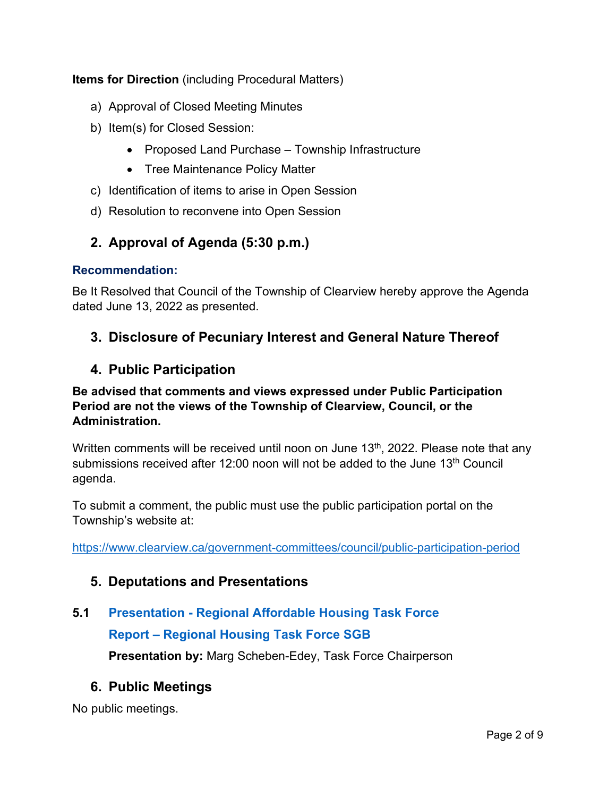**Items for Direction** (including Procedural Matters)

- a) Approval of Closed Meeting Minutes
- b) Item(s) for Closed Session:
	- Proposed Land Purchase Township Infrastructure
	- Tree Maintenance Policy Matter
- c) Identification of items to arise in Open Session
- d) Resolution to reconvene into Open Session

## **2. Approval of Agenda (5:30 p.m.)**

#### **Recommendation:**

Be It Resolved that Council of the Township of Clearview hereby approve the Agenda dated June 13, 2022 as presented.

## **3. Disclosure of Pecuniary Interest and General Nature Thereof**

## **4. Public Participation**

## **Be advised that comments and views expressed under Public Participation Period are not the views of the Township of Clearview, Council, or the Administration.**

Written comments will be received until noon on June 13<sup>th</sup>, 2022. Please note that any submissions received after 12:00 noon will not be added to the June 13<sup>th</sup> Council agenda.

To submit a comment, the public must use the public participation portal on the Township's website at:

<https://www.clearview.ca/government-committees/council/public-participation-period>

## **5. Deputations and Presentations**

## **5.1 [Presentation - Regional Affordable Housing Task Force](https://www.clearview.ca/sites/default/files/uploads/publications/5.1_presentation_-_regional_housing_task_force.pdf)  [Report – Regional Housing Task Force SGB](https://www.clearview.ca/sites/default/files/uploads/publications/5.1_report_-_regional_housing_task_force_south_georgian_bay.pdf)**

**Presentation by:** Marg Scheben-Edey, Task Force Chairperson

## **6. Public Meetings**

No public meetings.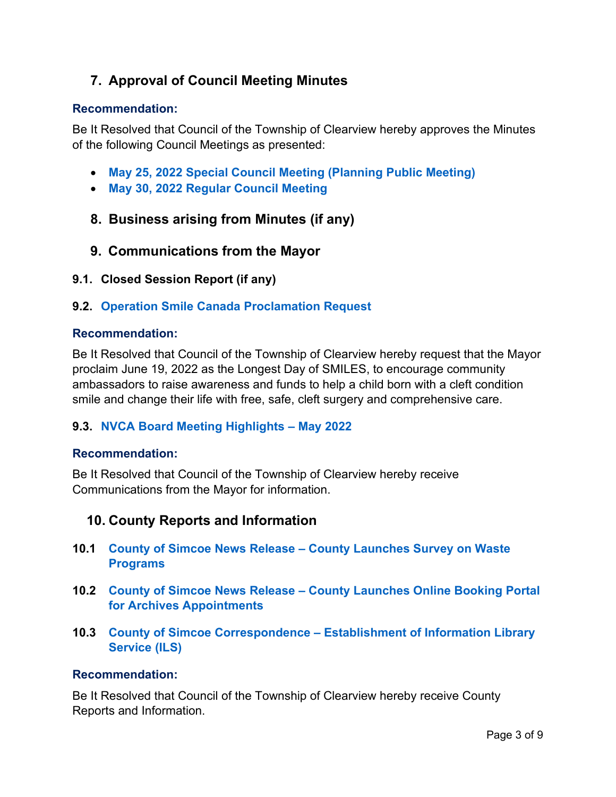## **7. Approval of Council Meeting Minutes**

#### **Recommendation:**

Be It Resolved that Council of the Township of Clearview hereby approves the Minutes of the following Council Meetings as presented:

- **May 25, 2022 Special Council Meeting [\(Planning Public Meeting\)](https://www.clearview.ca/sites/default/files/uploads/publications/2022-05-25_special_council_meeting_minutes_planning_public_meeting.pdf)**
- **[May 30, 2022 Regular Council Meeting](https://www.clearview.ca/sites/default/files/uploads/publications/2022-05-30_council_meeting_minutes.pdf)**
- **8. Business arising from Minutes (if any)**
- **9. Communications from the Mayor**
- **9.1. Closed Session Report (if any)**

#### **9.2. [Operation Smile Canada Proclamation Request](https://www.clearview.ca/sites/default/files/uploads/publications/9.2_longest_day_of_smiles_proclamation_request.pdf)**

#### **Recommendation:**

Be It Resolved that Council of the Township of Clearview hereby request that the Mayor proclaim June 19, 2022 as the Longest Day of SMILES, to encourage community ambassadors to raise awareness and funds to help a child born with a cleft condition smile and change their life with free, safe, cleft surgery and comprehensive care.

#### **9.3. [NVCA Board Meeting Highlights –](https://www.clearview.ca/sites/default/files/uploads/publications/9.3_nvca_board_meeting_highlights_-_may_2022.pdf) May 2022**

#### **Recommendation:**

Be It Resolved that Council of the Township of Clearview hereby receive Communications from the Mayor for information.

## **10. County Reports and Information**

- **10.1 County of Simcoe News Release – [County Launches Survey on Waste](https://www.clearview.ca/sites/default/files/uploads/publications/10.1_release_-_county_of_simcoe_launches_survey_on_waste_programs.pdf)  [Programs](https://www.clearview.ca/sites/default/files/uploads/publications/10.1_release_-_county_of_simcoe_launches_survey_on_waste_programs.pdf)**
- **10.2 County of Simcoe News Release – [County Launches Online Booking Portal](https://www.clearview.ca/sites/default/files/uploads/publications/10.2_release_-_county_launches_online_booking_portal_for_archives_appointments.pdf)  [for Archives Appointments](https://www.clearview.ca/sites/default/files/uploads/publications/10.2_release_-_county_launches_online_booking_portal_for_archives_appointments.pdf)**
- **10.3 County of Simcoe Correspondence – [Establishment of Information Library](https://www.clearview.ca/sites/default/files/uploads/publications/10.3_county_of_simcoe_correspondence_-_establishment_of_information_library_service_ils.pdf)  [Service \(ILS\)](https://www.clearview.ca/sites/default/files/uploads/publications/10.3_county_of_simcoe_correspondence_-_establishment_of_information_library_service_ils.pdf)**

#### **Recommendation:**

Be It Resolved that Council of the Township of Clearview hereby receive County Reports and Information.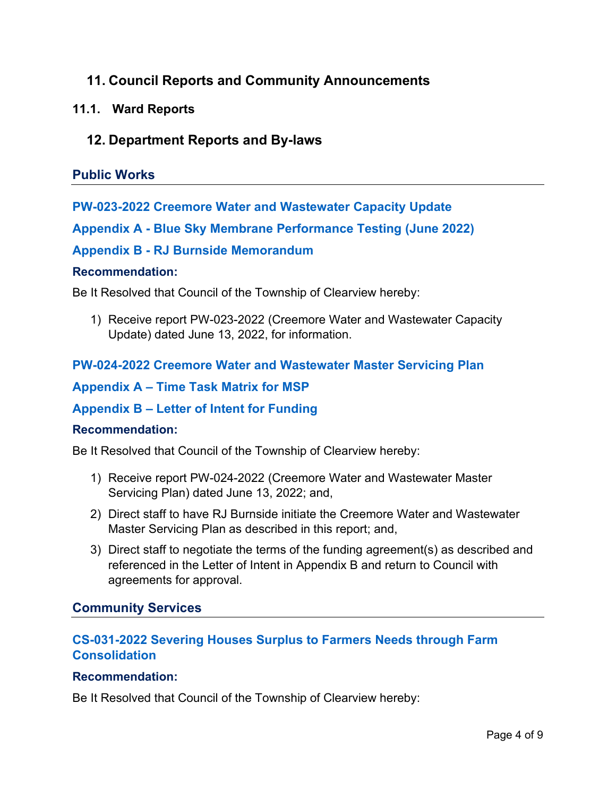## **11. Council Reports and Community Announcements**

## **11.1. Ward Reports**

## **12. Department Reports and By-laws**

## **Public Works**

## **[PW-023-2022 Creemore Water and Wastewater Capacity Update](https://www.clearview.ca/sites/default/files/uploads/publications/pw-023-2022_creemore_water_and_wastewater_capacity_update.pdf)**

## **[Appendix A - Blue Sky Membrane Performance Testing \(June 2022\)](https://www.clearview.ca/sites/default/files/uploads/publications/pw-023-2022_appendix_a_-_blue_sky_membrane_performance_testing_june_2022.pdf)**

## **[Appendix B - RJ Burnside Memorandum](https://www.clearview.ca/sites/default/files/uploads/publications/pw-023-2022_appendix_b_-_rj_burnside_memorandum.pdf)**

#### **Recommendation:**

Be It Resolved that Council of the Township of Clearview hereby:

1) Receive report PW-023-2022 (Creemore Water and Wastewater Capacity Update) dated June 13, 2022, for information.

## **[PW-024-2022 Creemore Water and Wastewater Master Servicing Plan](https://www.clearview.ca/sites/default/files/uploads/publications/pw-024-2022_creemore_water_and_wastewater_master_servicing_plan.pdf)**

## **[Appendix A – Time Task Matrix for MSP](https://www.clearview.ca/sites/default/files/uploads/publications/pw-024-2022_appendix_a_-_time_task_matrix_for_msp.pdf)**

## **[Appendix B – Letter of Intent for Funding](https://www.clearview.ca/sites/default/files/uploads/publications/pw-024-2022_appendix_b_-_letter_of_intent_for_funding.pdf)**

#### **Recommendation:**

Be It Resolved that Council of the Township of Clearview hereby:

- 1) Receive report PW-024-2022 (Creemore Water and Wastewater Master Servicing Plan) dated June 13, 2022; and,
- 2) Direct staff to have RJ Burnside initiate the Creemore Water and Wastewater Master Servicing Plan as described in this report; and,
- 3) Direct staff to negotiate the terms of the funding agreement(s) as described and referenced in the Letter of Intent in Appendix B and return to Council with agreements for approval.

## **Community Services**

## **[CS-031-2022 Severing Houses Surplus to Farmers Needs through Farm](https://www.clearview.ca/sites/default/files/uploads/publications/cs-031-2022_-_severing_a_surplus_house_via_a_farm_amalgamation.pdf)  [Consolidation](https://www.clearview.ca/sites/default/files/uploads/publications/cs-031-2022_-_severing_a_surplus_house_via_a_farm_amalgamation.pdf)**

#### **Recommendation:**

Be It Resolved that Council of the Township of Clearview hereby: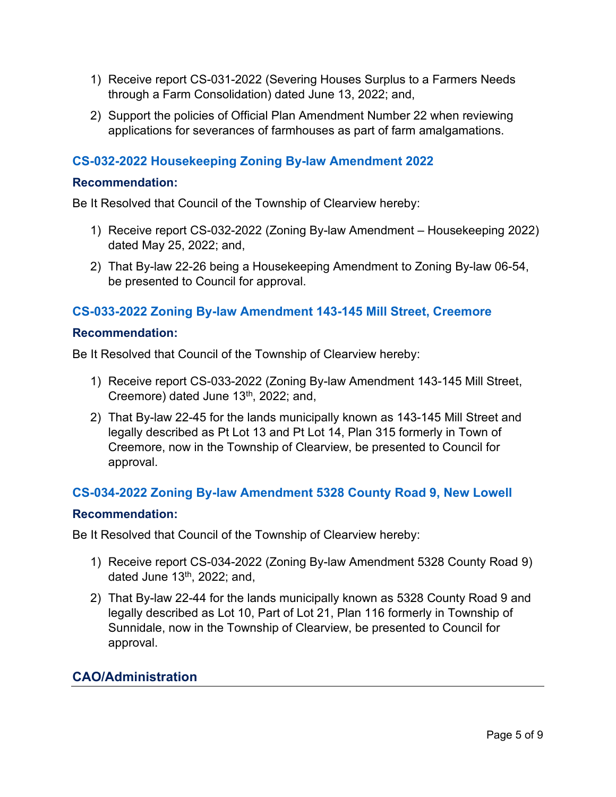- 1) Receive report CS-031-2022 (Severing Houses Surplus to a Farmers Needs through a Farm Consolidation) dated June 13, 2022; and,
- 2) Support the policies of Official Plan Amendment Number 22 when reviewing applications for severances of farmhouses as part of farm amalgamations.

## **[CS-032-2022 Housekeeping Zoning](https://www.clearview.ca/sites/default/files/uploads/publications/cs-032-2022_-_approval_housekeeping_zoning_by-law_amendment_2022_1.pdf) By-law Amendment 2022**

#### **Recommendation:**

Be It Resolved that Council of the Township of Clearview hereby:

- 1) Receive report CS-032-2022 (Zoning By-law Amendment Housekeeping 2022) dated May 25, 2022; and,
- 2) That By-law 22-26 being a Housekeeping Amendment to Zoning By-law 06-54, be presented to Council for approval.

#### **[CS-033-2022 Zoning By-law Amendment 143-145 Mill Street, Creemore](https://www.clearview.ca/sites/default/files/uploads/publications/cs-033-2022_-_zoning_by-law_143-145_mill_street.pdf)**

#### **Recommendation:**

Be It Resolved that Council of the Township of Clearview hereby:

- 1) Receive report CS-033-2022 (Zoning By-law Amendment 143-145 Mill Street, Creemore) dated June 13<sup>th</sup>, 2022; and,
- 2) That By-law 22-45 for the lands municipally known as 143-145 Mill Street and legally described as Pt Lot 13 and Pt Lot 14, Plan 315 formerly in Town of Creemore, now in the Township of Clearview, be presented to Council for approval.

## **[CS-034-2022 Zoning By-law Amendment 5328 County Road 9, New Lowell](https://www.clearview.ca/sites/default/files/uploads/publications/cs-034-2022_-_zoning_by-law_5328_county_road_9.pdf)**

#### **Recommendation:**

Be It Resolved that Council of the Township of Clearview hereby:

- 1) Receive report CS-034-2022 (Zoning By-law Amendment 5328 County Road 9) dated June  $13<sup>th</sup>$ , 2022; and,
- 2) That By-law 22-44 for the lands municipally known as 5328 County Road 9 and legally described as Lot 10, Part of Lot 21, Plan 116 formerly in Township of Sunnidale, now in the Township of Clearview, be presented to Council for approval.

## **CAO/Administration**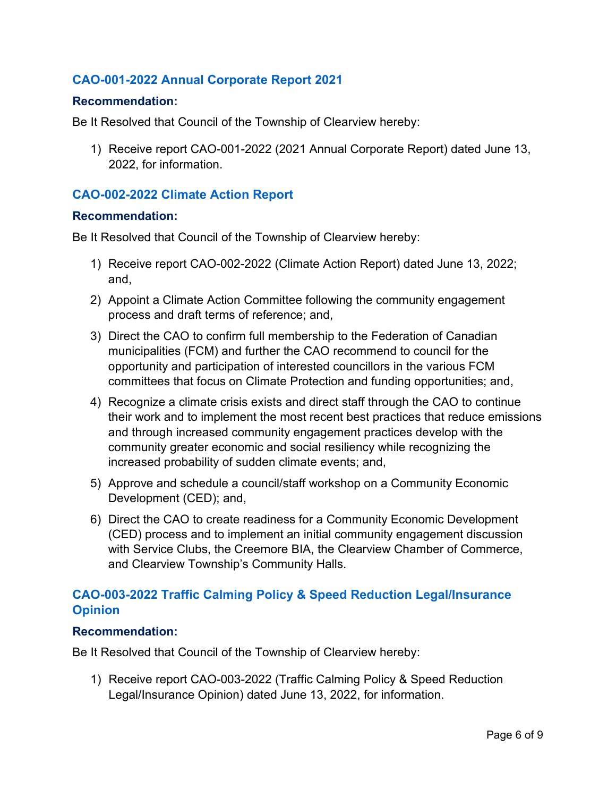## **[CAO-001-2022 Annual Corporate Report 2021](https://www.clearview.ca/sites/default/files/uploads/publications/cao-001-2022_2021_annual_corporate_report.pdf)**

#### **Recommendation:**

Be It Resolved that Council of the Township of Clearview hereby:

1) Receive report CAO-001-2022 (2021 Annual Corporate Report) dated June 13, 2022, for information.

#### **CAO-002-2022 [Climate Action Report](https://www.clearview.ca/sites/default/files/uploads/publications/cao-002-2022_climate_action_report.pdf)**

#### **Recommendation:**

Be It Resolved that Council of the Township of Clearview hereby:

- 1) Receive report CAO-002-2022 (Climate Action Report) dated June 13, 2022; and,
- 2) Appoint a Climate Action Committee following the community engagement process and draft terms of reference; and,
- 3) Direct the CAO to confirm full membership to the Federation of Canadian municipalities (FCM) and further the CAO recommend to council for the opportunity and participation of interested councillors in the various FCM committees that focus on Climate Protection and funding opportunities; and,
- 4) Recognize a climate crisis exists and direct staff through the CAO to continue their work and to implement the most recent best practices that reduce emissions and through increased community engagement practices develop with the community greater economic and social resiliency while recognizing the increased probability of sudden climate events; and,
- 5) Approve and schedule a council/staff workshop on a Community Economic Development (CED); and,
- 6) Direct the CAO to create readiness for a Community Economic Development (CED) process and to implement an initial community engagement discussion with Service Clubs, the Creemore BIA, the Clearview Chamber of Commerce, and Clearview Township's Community Halls.

## **CAO-003-2022 [Traffic Calming Policy & Speed Reduction Legal/Insurance](https://www.clearview.ca/sites/default/files/uploads/publications/cao-003-2022_traffic_calming_policy_speed_reduction_opinion.pdf)  [Opinion](https://www.clearview.ca/sites/default/files/uploads/publications/cao-003-2022_traffic_calming_policy_speed_reduction_opinion.pdf)**

#### **Recommendation:**

Be It Resolved that Council of the Township of Clearview hereby:

1) Receive report CAO-003-2022 (Traffic Calming Policy & Speed Reduction Legal/Insurance Opinion) dated June 13, 2022, for information.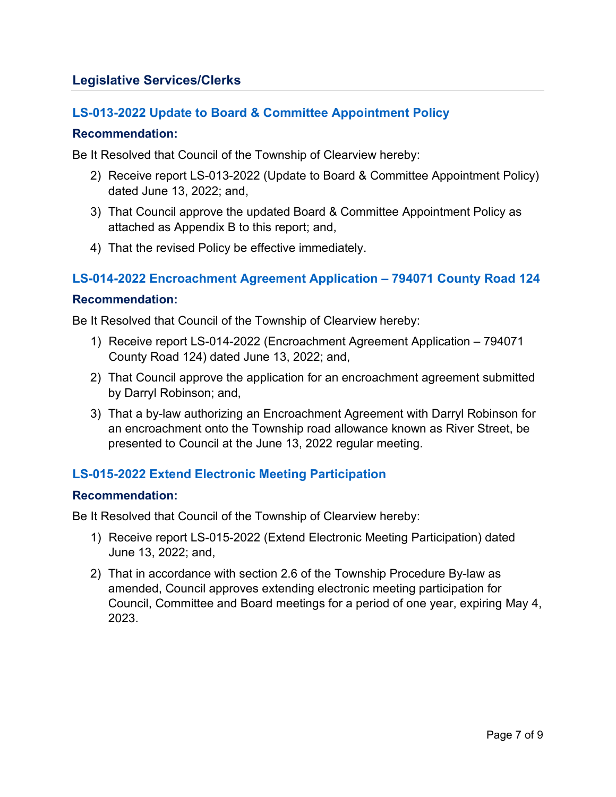## **Legislative Services/Clerks**

## **[LS-013-2022 Update to Board & Committee Appointment Policy](https://www.clearview.ca/sites/default/files/uploads/publications/ls-013-2022_update_to_board_and_committee_appointment_policy.pdf)**

#### **Recommendation:**

Be It Resolved that Council of the Township of Clearview hereby:

- 2) Receive report LS-013-2022 (Update to Board & Committee Appointment Policy) dated June 13, 2022; and,
- 3) That Council approve the updated Board & Committee Appointment Policy as attached as Appendix B to this report; and,
- 4) That the revised Policy be effective immediately.

## **[LS-014-2022 Encroachment Agreement Application – 794071 County Road 124](https://www.clearview.ca/sites/default/files/uploads/publications/ls-014-2022_encroachment_agreement_request_-_794071_county_road_124.pdf)**

#### **Recommendation:**

Be It Resolved that Council of the Township of Clearview hereby:

- 1) Receive report LS-014-2022 (Encroachment Agreement Application 794071 County Road 124) dated June 13, 2022; and,
- 2) That Council approve the application for an encroachment agreement submitted by Darryl Robinson; and,
- 3) That a by-law authorizing an Encroachment Agreement with Darryl Robinson for an encroachment onto the Township road allowance known as River Street, be presented to Council at the June 13, 2022 regular meeting.

## **[LS-015-2022 Extend Electronic](https://www.clearview.ca/sites/default/files/uploads/publications/ls-015-2022_extend_electronic_meeting_participation.pdf) Meeting Participation**

#### **Recommendation:**

Be It Resolved that Council of the Township of Clearview hereby:

- 1) Receive report LS-015-2022 (Extend Electronic Meeting Participation) dated June 13, 2022; and,
- 2) That in accordance with section 2.6 of the Township Procedure By-law as amended, Council approves extending electronic meeting participation for Council, Committee and Board meetings for a period of one year, expiring May 4, 2023.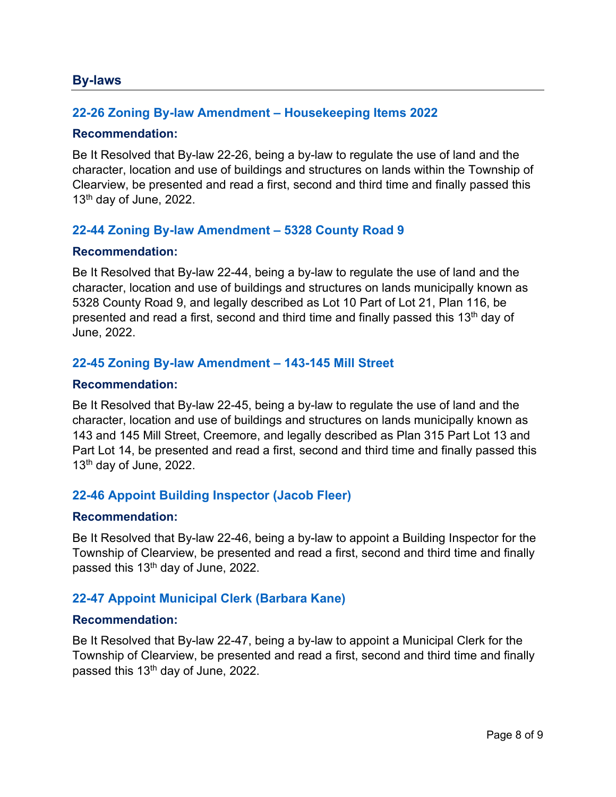#### **By-laws**

#### **22-26 Zoning By-law [Amendment – Housekeeping Items 2022](https://www.clearview.ca/sites/default/files/uploads/publications/22-26_zba_housekeeping_items.pdf)**

#### **Recommendation:**

Be It Resolved that By-law 22-26, being a by-law to regulate the use of land and the character, location and use of buildings and structures on lands within the Township of Clearview, be presented and read a first, second and third time and finally passed this  $13<sup>th</sup>$  day of June, 2022.

#### **[22-44 Zoning By-law Amendment – 5328 County Road 9](https://www.clearview.ca/sites/default/files/uploads/publications/22-44_zba_5328_county_road_9.pdf)**

#### **Recommendation:**

Be It Resolved that By-law 22-44, being a by-law to regulate the use of land and the character, location and use of buildings and structures on lands municipally known as 5328 County Road 9, and legally described as Lot 10 Part of Lot 21, Plan 116, be presented and read a first, second and third time and finally passed this 13th day of June, 2022.

#### **[22-45 Zoning By-law Amendment – 143-145 Mill Street](https://www.clearview.ca/sites/default/files/uploads/publications/22-45_zba-143-145_mill_street.pdf)**

#### **Recommendation:**

Be It Resolved that By-law 22-45, being a by-law to regulate the use of land and the character, location and use of buildings and structures on lands municipally known as 143 and 145 Mill Street, Creemore, and legally described as Plan 315 Part Lot 13 and Part Lot 14, be presented and read a first, second and third time and finally passed this  $13<sup>th</sup>$  day of June, 2022.

#### **[22-46 Appoint Building Inspector \(Jacob Fleer\)](https://www.clearview.ca/sites/default/files/uploads/publications/22-46_appoint_building_inspector_jacob_fleer.pdf)**

#### **Recommendation:**

Be It Resolved that By-law 22-46, being a by-law to appoint a Building Inspector for the Township of Clearview, be presented and read a first, second and third time and finally passed this 13th day of June, 2022.

#### **[22-47 Appoint Municipal Clerk \(Barbara Kane\)](https://www.clearview.ca/sites/default/files/uploads/publications/22-47_appoint_municipal_clerk_barbara_kane.pdf)**

#### **Recommendation:**

Be It Resolved that By-law 22-47, being a by-law to appoint a Municipal Clerk for the Township of Clearview, be presented and read a first, second and third time and finally passed this 13<sup>th</sup> day of June, 2022.